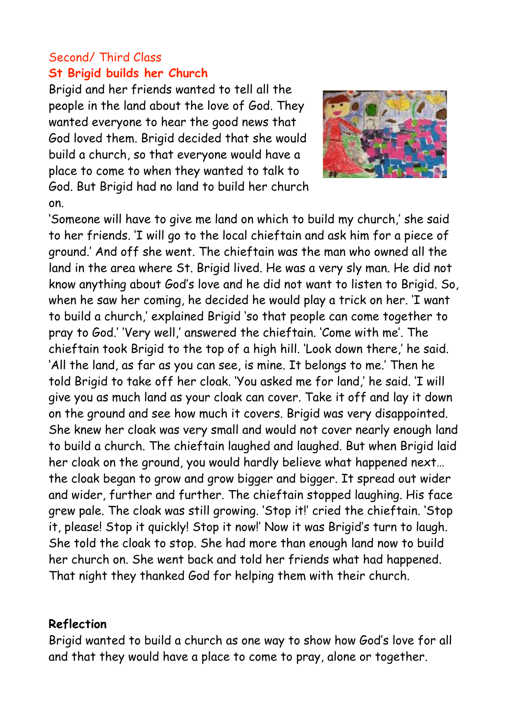## Second/ Third Class **St Brigid builds her Church**

Brigid and her friends wanted to tell all the people in the land about the love of God. They wanted everyone to hear the good news that God loved them. Brigid decided that she would build a church, so that everyone would have a place to come to when they wanted to talk to God. But Brigid had no land to build her church on.



'Someone will have to give me land on which to build my church,' she said to her friends. 'I will go to the local chieftain and ask him for a piece of ground.' And off she went. The chieftain was the man who owned all the land in the area where St. Brigid lived. He was a very sly man. He did not know anything about God's love and he did not want to listen to Brigid. So, when he saw her coming, he decided he would play a trick on her. 'I want to build a church,' explained Brigid 'so that people can come together to pray to God.' 'Very well,' answered the chieftain. 'Come with me'. The chieftain took Brigid to the top of a high hill. 'Look down there,' he said. 'All the land, as far as you can see, is mine. It belongs to me.' Then he told Brigid to take off her cloak. 'You asked me for land,' he said. 'I will give you as much land as your cloak can cover. Take it off and lay it down on the ground and see how much it covers. Brigid was very disappointed. She knew her cloak was very small and would not cover nearly enough land to build a church. The chieftain laughed and laughed. But when Brigid laid her cloak on the ground, you would hardly believe what happened next… the cloak began to grow and grow bigger and bigger. It spread out wider and wider, further and further. The chieftain stopped laughing. His face grew pale. The cloak was still growing. 'Stop it!' cried the chieftain. 'Stop it, please! Stop it quickly! Stop it now!' Now it was Brigid's turn to laugh. She told the cloak to stop. She had more than enough land now to build her church on. She went back and told her friends what had happened. That night they thanked God for helping them with their church.

## **Reflection**

Brigid wanted to build a church as one way to show how God's love for all and that they would have a place to come to pray, alone or together.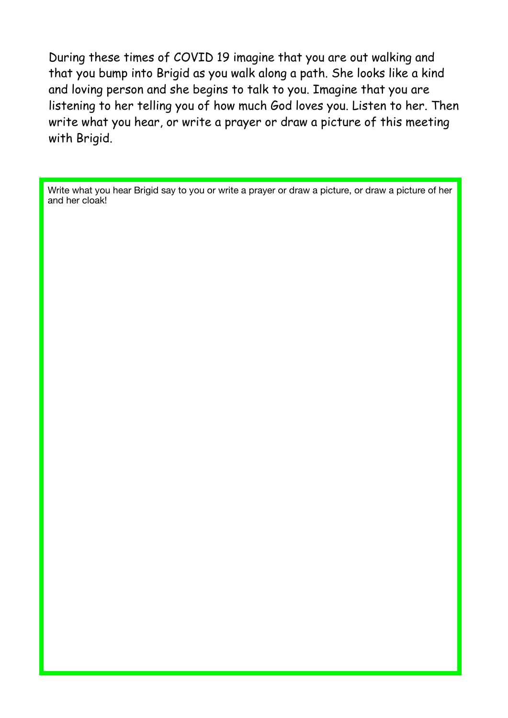During these times of COVID 19 imagine that you are out walking and that you bump into Brigid as you walk along a path. She looks like a kind and loving person and she begins to talk to you. Imagine that you are listening to her telling you of how much God loves you. Listen to her. Then write what you hear, or write a prayer or draw a picture of this meeting with Brigid.

Write what you hear Brigid say to you or write a prayer or draw a picture, or draw a picture of her and her cloak!